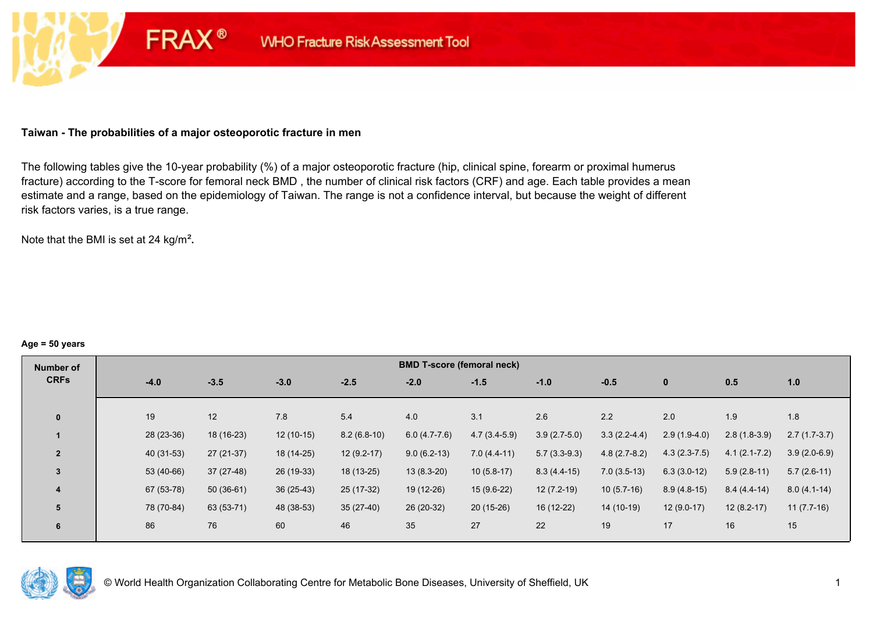### **Taiwan - The probabilities of a major osteoporotic fracture in men**

**FRAX®** 

The following tables give the 10-year probability (%) of a major osteoporotic fracture (hip, clinical spine, forearm or proximal humerus fracture) according to the T-score for femoral neck BMD , the number of clinical risk factors (CRF) and age. Each table provides a mean estimate and a range, based on the epidemiology of Taiwan. The range is not a confidence interval, but because the weight of different risk factors varies, is a true range.

Note that the BMI is set at 24 kg/m²**.** 

#### **Age = 50 years**

| Number of      | <b>BMD T-score (femoral neck)</b> |             |             |               |                |                |                |                |                |                  |                |  |
|----------------|-----------------------------------|-------------|-------------|---------------|----------------|----------------|----------------|----------------|----------------|------------------|----------------|--|
| <b>CRFs</b>    | $-4.0$                            | $-3.5$      | $-3.0$      | $-2.5$        | $-2.0$         | $-1.5$         | $-1.0$         | $-0.5$         | $\mathbf{0}$   | 0.5              | 1.0            |  |
|                |                                   |             |             |               |                |                |                |                |                |                  |                |  |
| $\mathbf{0}$   | 19                                | 12          | 7.8         | 5.4           | 4.0            | 3.1            | 2.6            | 2.2            | 2.0            | 1.9              | 1.8            |  |
|                | 28 (23-36)                        | 18 (16-23)  | $12(10-15)$ | $8.2(6.8-10)$ | $6.0(4.7-7.6)$ | $4.7(3.4-5.9)$ | $3.9(2.7-5.0)$ | $3.3(2.2-4.4)$ | $2.9(1.9-4.0)$ | $2.8(1.8-3.9)$   | $2.7(1.7-3.7)$ |  |
| $\overline{2}$ | 40 (31-53)                        | $27(21-37)$ | 18 (14-25)  | $12(9.2-17)$  | $9.0(6.2-13)$  | $7.0(4.4-11)$  | $5.7(3.3-9.3)$ | $4.8(2.7-8.2)$ | $4.3(2.3-7.5)$ | $4.1(2.1 - 7.2)$ | $3.9(2.0-6.9)$ |  |
| $\overline{3}$ | 53 (40-66)                        | $37(27-48)$ | 26 (19-33)  | $18(13-25)$   | $13(8.3-20)$   | $10(5.8-17)$   | $8.3(4.4-15)$  | $7.0(3.5-13)$  | $6.3(3.0-12)$  | $5.9(2.8-11)$    | $5.7(2.6-11)$  |  |
| 4              | 67 (53-78)                        | $50(36-61)$ | $36(25-43)$ | 25 (17-32)    | 19 (12-26)     | $15(9.6-22)$   | $12(7.2-19)$   | $10(5.7-16)$   | $8.9(4.8-15)$  | $8.4(4.4-14)$    | $8.0(4.1-14)$  |  |
| 5              | 78 (70-84)                        | 63 (53-71)  | 48 (38-53)  | $35(27-40)$   | 26 (20-32)     | $20(15-26)$    | 16 (12-22)     | 14 (10-19)     | $12(9.0-17)$   | $12(8.2-17)$     | $11(7.7-16)$   |  |
| 6              | 86                                | 76          | 60          | 46            | 35             | 27             | 22             | 19             | 17             | 16               | 15             |  |

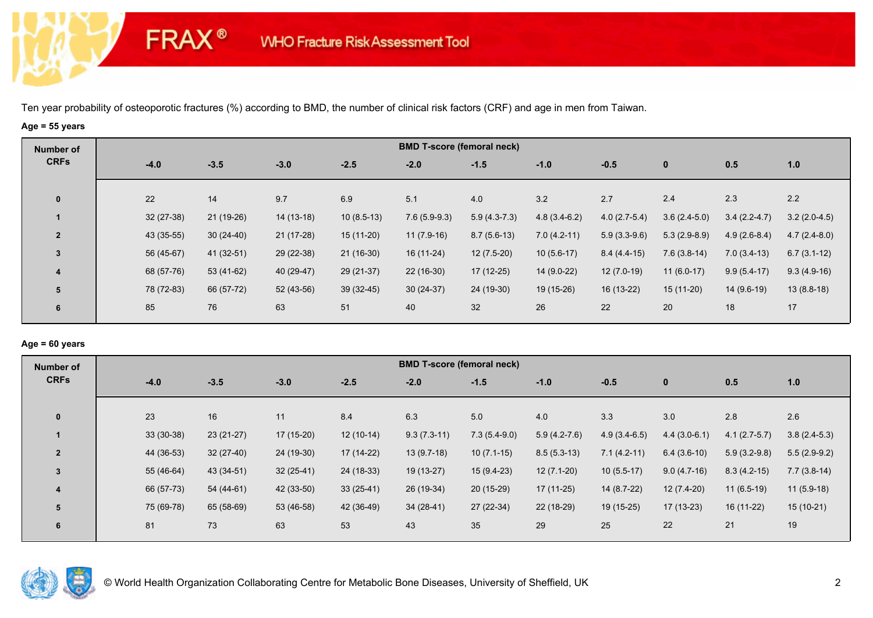# **Age = 55 years**

**FRAX®** 

| Number of      |  |  |  |  |
|----------------|--|--|--|--|
| <b>CRFs</b>    |  |  |  |  |
| $\mathbf 0$    |  |  |  |  |
|                |  |  |  |  |
| $\overline{2}$ |  |  |  |  |
| $\overline{3}$ |  |  |  |  |
| 4              |  |  |  |  |
| 5              |  |  |  |  |
| 6              |  |  |  |  |
|                |  |  |  |  |

### **Age = 60 years**

| Number of      |             |             |             |             |               | <b>BMD T-score (femoral neck)</b> |                |                |                |                |                |
|----------------|-------------|-------------|-------------|-------------|---------------|-----------------------------------|----------------|----------------|----------------|----------------|----------------|
| <b>CRFs</b>    | $-4.0$      | $-3.5$      | $-3.0$      | $-2.5$      | $-2.0$        | $-1.5$                            | $-1.0$         | $-0.5$         | $\mathbf 0$    | 0.5            | 1.0            |
|                |             |             |             |             |               |                                   |                |                |                |                |                |
| $\mathbf{0}$   | 23          | 16          | 11          | 8.4         | 6.3           | 5.0                               | 4.0            | 3.3            | 3.0            | 2.8            | 2.6            |
|                | $33(30-38)$ | $23(21-27)$ | $17(15-20)$ | $12(10-14)$ | $9.3(7.3-11)$ | $7.3(5.4-9.0)$                    | $5.9(4.2-7.6)$ | $4.9(3.4-6.5)$ | $4.4(3.0-6.1)$ | $4.1(2.7-5.7)$ | $3.8(2.4-5.3)$ |
| $\overline{2}$ | 44 (36-53)  | $32(27-40)$ | 24 (19-30)  | $17(14-22)$ | $13(9.7-18)$  | $10(7.1-15)$                      | $8.5(5.3-13)$  | $7.1(4.2-11)$  | $6.4(3.6-10)$  | $5.9(3.2-9.8)$ | $5.5(2.9-9.2)$ |
| $\overline{3}$ | 55 (46-64)  | 43 (34-51)  | $32(25-41)$ | 24 (18-33)  | 19 (13-27)    | $15(9.4-23)$                      | $12(7.1-20)$   | $10(5.5-17)$   | $9.0(4.7-16)$  | $8.3(4.2-15)$  | $7.7(3.8-14)$  |
| 4              | 66 (57-73)  | 54 (44-61)  | 42 (33-50)  | $33(25-41)$ | 26 (19-34)    | $20(15-29)$                       | 17 (11-25)     | 14 (8.7-22)    | 12 (7.4-20)    | $11(6.5-19)$   | $11(5.9-18)$   |
| 5              | 75 (69-78)  | 65 (58-69)  | 53 (46-58)  | 42 (36-49)  | $34(28-41)$   | 27 (22-34)                        | 22 (18-29)     | 19 (15-25)     | $17(13-23)$    | 16 (11-22)     | $15(10-21)$    |
| 6              | 81          | 73          | 63          | 53          | 43            | 35                                | 29             | 25             | 22             | 21             | 19             |
|                |             |             |             |             |               |                                   |                |                |                |                |                |

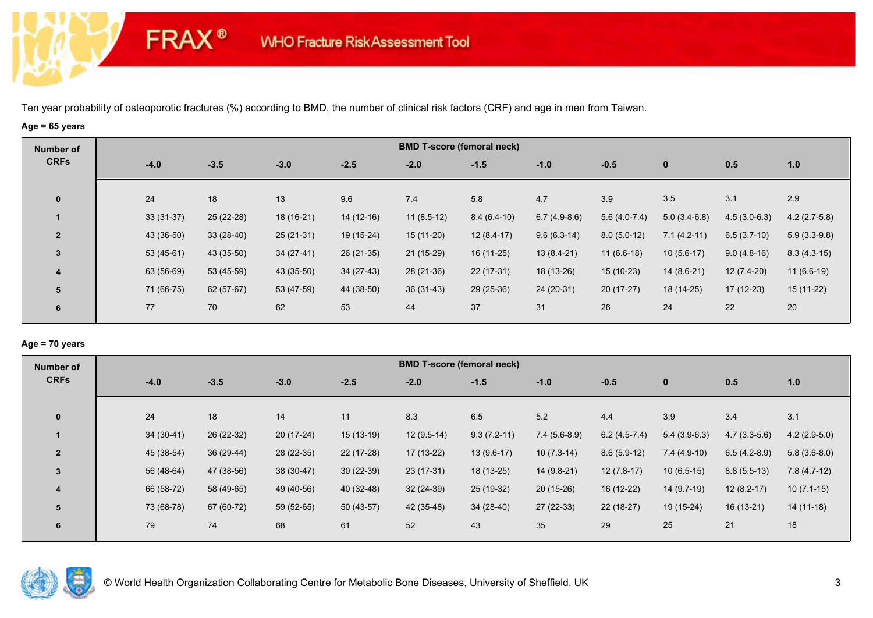# **Age = 65 years**

**FRAX®** 

| Number of      |        |             |             |             |             | <b>BMD T-score (femoral neck)</b> |               |                |                |                |                |                |
|----------------|--------|-------------|-------------|-------------|-------------|-----------------------------------|---------------|----------------|----------------|----------------|----------------|----------------|
| <b>CRFs</b>    | $-4.0$ |             | $-3.5$      | $-3.0$      | $-2.5$      | $-2.0$                            | $-1.5$        | $-1.0$         | $-0.5$         | $\bf{0}$       | 0.5            | 1.0            |
| $\mathbf{0}$   | 24     |             | 18          | 13          | 9.6         | 7.4                               | 5.8           | 4.7            | 3.9            | 3.5            | 3.1            | 2.9            |
|                |        | $33(31-37)$ | 25 (22-28)  | 18 (16-21)  | $14(12-16)$ | $11(8.5-12)$                      | $8.4(6.4-10)$ | $6.7(4.9-8.6)$ | $5.6(4.0-7.4)$ | $5.0(3.4-6.8)$ | $4.5(3.0-6.3)$ | $4.2(2.7-5.8)$ |
| $\overline{2}$ |        | 43 (36-50)  | $33(28-40)$ | $25(21-31)$ | 19 (15-24)  | $15(11-20)$                       | $12(8.4-17)$  | $9.6(6.3-14)$  | $8.0(5.0-12)$  | $7.1(4.2-11)$  | $6.5(3.7-10)$  | $5.9(3.3-9.8)$ |
| 3              |        | $53(45-61)$ | 43 (35-50)  | $34(27-41)$ | $26(21-35)$ | $21(15-29)$                       | $16(11-25)$   | $13(8.4-21)$   | $11(6.6-18)$   | $10(5.6-17)$   | $9.0(4.8-16)$  | $8.3(4.3-15)$  |
| 4              |        | 63 (56-69)  | 53 (45-59)  | 43 (35-50)  | $34(27-43)$ | $28(21-36)$                       | $22(17-31)$   | 18 (13-26)     | $15(10-23)$    | $14(8.6-21)$   | $12(7.4-20)$   | $11(6.6-19)$   |
| 5              |        | 71 (66-75)  | $62(57-67)$ | 53 (47-59)  | 44 (38-50)  | $36(31-43)$                       | $29(25-36)$   | 24 (20-31)     | $20(17-27)$    | 18 (14-25)     | $17(12-23)$    | 15 (11-22)     |
| 6              | 77     |             | 70          | 62          | 53          | 44                                | 37            | 31             | 26             | 24             | 22             | 20             |
|                |        |             |             |             |             |                                   |               |                |                |                |                |                |

### **Age = 70 years**

| Number of                | <b>BMD T-score (femoral neck)</b> |             |             |             |              |               |                |                |                |                |                |  |
|--------------------------|-----------------------------------|-------------|-------------|-------------|--------------|---------------|----------------|----------------|----------------|----------------|----------------|--|
| <b>CRFs</b>              | $-4.0$                            | $-3.5$      | $-3.0$      | $-2.5$      | $-2.0$       | $-1.5$        | $-1.0$         | $-0.5$         | $\mathbf 0$    | 0.5            | 1.0            |  |
|                          |                                   |             |             |             |              |               |                |                |                |                |                |  |
| $\mathbf{0}$             | 24                                | 18          | 14          | 11          | 8.3          | 6.5           | 5.2            | 4.4            | 3.9            | 3.4            | 3.1            |  |
|                          | $34(30-41)$                       | 26 (22-32)  | $20(17-24)$ | $15(13-19)$ | $12(9.5-14)$ | $9.3(7.2-11)$ | $7.4(5.6-8.9)$ | $6.2(4.5-7.4)$ | $5.4(3.9-6.3)$ | $4.7(3.3-5.6)$ | $4.2(2.9-5.0)$ |  |
| $\overline{\phantom{a}}$ | 45 (38-54)                        | $36(29-44)$ | 28 (22-35)  | $22(17-28)$ | $17(13-22)$  | $13(9.6-17)$  | $10(7.3-14)$   | $8.6(5.9-12)$  | $7.4(4.9-10)$  | $6.5(4.2-8.9)$ | $5.8(3.6-8.0)$ |  |
| 3                        | 56 (48-64)                        | 47 (38-56)  | $38(30-47)$ | $30(22-39)$ | $23(17-31)$  | 18 (13-25)    | $14(9.8-21)$   | $12(7.8-17)$   | $10(6.5-15)$   | $8.8(5.5-13)$  | $7.8(4.7-12)$  |  |
| 4                        | 66 (58-72)                        | 58 (49-65)  | 49 (40-56)  | 40 (32-48)  | $32(24-39)$  | 25 (19-32)    | 20 (15-26)     | 16 (12-22)     | 14 (9.7-19)    | $12(8.2-17)$   | $10(7.1-15)$   |  |
| 5                        | 73 (68-78)                        | 67 (60-72)  | 59 (52-65)  | $50(43-57)$ | 42 (35-48)   | $34(28-40)$   | $27(22-33)$    | $22(18-27)$    | $19(15-24)$    | $16(13-21)$    | $14(11-18)$    |  |
| 6                        | 79                                | 74          | 68          | 61          | 52           | 43            | 35             | 29             | 25             | 21             | 18             |  |
|                          |                                   |             |             |             |              |               |                |                |                |                |                |  |

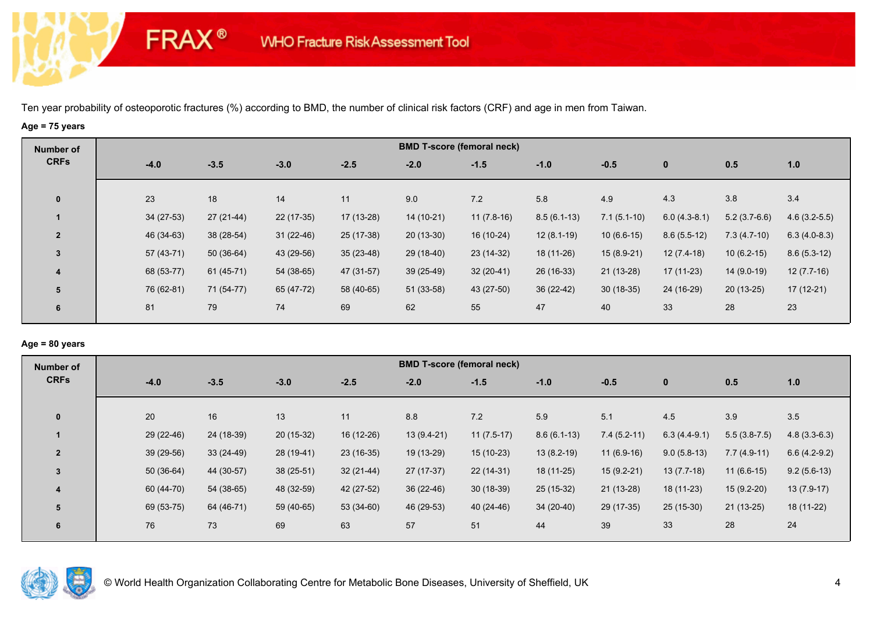# **Age = 75 years**

**FRAX®** 

| Number of      |             |             |             |             |             | <b>BMD T-score (femoral neck)</b> |               |               |                |                |                |
|----------------|-------------|-------------|-------------|-------------|-------------|-----------------------------------|---------------|---------------|----------------|----------------|----------------|
| <b>CRFs</b>    | $-4.0$      | $-3.5$      | $-3.0$      | $-2.5$      | $-2.0$      | $-1.5$                            | $-1.0$        | $-0.5$        | $\bf{0}$       | 0.5            | 1.0            |
| $\mathbf 0$    | 23          | 18          | 14          | 11          | 9.0         | 7.2                               | 5.8           | 4.9           | 4.3            | 3.8            | 3.4            |
|                | $34(27-53)$ | $27(21-44)$ | $22(17-35)$ | $17(13-28)$ | 14 (10-21)  | $11(7.8-16)$                      | $8.5(6.1-13)$ | $7.1(5.1-10)$ | $6.0(4.3-8.1)$ | $5.2(3.7-6.6)$ | $4.6(3.2-5.5)$ |
| $\overline{2}$ | 46 (34-63)  | 38 (28-54)  | $31(22-46)$ | $25(17-38)$ | $20(13-30)$ | 16 (10-24)                        | $12(8.1-19)$  | $10(6.6-15)$  | $8.6(5.5-12)$  | $7.3(4.7-10)$  | $6.3(4.0-8.3)$ |
| $\overline{3}$ | 57 (43-71)  | $50(36-64)$ | 43 (29-56)  | $35(23-48)$ | 29 (18-40)  | $23(14-32)$                       | 18 (11-26)    | $15(8.9-21)$  | $12(7.4-18)$   | $10(6.2-15)$   | $8.6(5.3-12)$  |
| 4              | 68 (53-77)  | $61(45-71)$ | 54 (38-65)  | 47 (31-57)  | $39(25-49)$ | $32(20-41)$                       | 26 (16-33)    | $21(13-28)$   | 17 (11-23)     | $14(9.0-19)$   | $12(7.7-16)$   |
| 5              | 76 (62-81)  | 71 (54-77)  | 65 (47-72)  | 58 (40-65)  | $51(33-58)$ | 43 (27-50)                        | 36 (22-42)    | $30(18-35)$   | 24 (16-29)     | $20(13-25)$    | 17 (12-21)     |
| 6              | 81          | 79          | 74          | 69          | 62          | 55                                | 47            | 40            | 33             | 28             | 23             |

## **Age = 80 years**

| <b>Number of</b> | <b>BMD T-score (femoral neck)</b> |             |             |             |              |              |               |               |                |                |                |  |
|------------------|-----------------------------------|-------------|-------------|-------------|--------------|--------------|---------------|---------------|----------------|----------------|----------------|--|
| <b>CRFs</b>      | $-4.0$                            | $-3.5$      | $-3.0$      | $-2.5$      | $-2.0$       | $-1.5$       | $-1.0$        | $-0.5$        | $\mathbf{0}$   | 0.5            | 1.0            |  |
|                  |                                   |             |             |             |              |              |               |               |                |                |                |  |
| $\mathbf{0}$     | 20                                | 16          | 13          | 11          | 8.8          | 7.2          | 5.9           | 5.1           | 4.5            | 3.9            | 3.5            |  |
|                  | 29 (22-46)                        | 24 (18-39)  | 20 (15-32)  | 16 (12-26)  | $13(9.4-21)$ | $11(7.5-17)$ | $8.6(6.1-13)$ | $7.4(5.2-11)$ | $6.3(4.4-9.1)$ | $5.5(3.8-7.5)$ | $4.8(3.3-6.3)$ |  |
| $\overline{2}$   | 39 (29-56)                        | $33(24-49)$ | 28 (19-41)  | $23(16-35)$ | 19 (13-29)   | $15(10-23)$  | $13(8.2-19)$  | $11(6.9-16)$  | $9.0(5.8-13)$  | $7.7(4.9-11)$  | $6.6(4.2-9.2)$ |  |
| 3                | $50(36-64)$                       | 44 (30-57)  | $38(25-51)$ | $32(21-44)$ | $27(17-37)$  | $22(14-31)$  | 18 (11-25)    | $15(9.2-21)$  | $13(7.7-18)$   | $11(6.6-15)$   | $9.2(5.6-13)$  |  |
| 4                | 60 (44-70)                        | $54(38-65)$ | 48 (32-59)  | 42 (27-52)  | $36(22-46)$  | $30(18-39)$  | 25 (15-32)    | $21(13-28)$   | 18 (11-23)     | $15(9.2-20)$   | $13(7.9-17)$   |  |
| 5                | 69 (53-75)                        | 64 (46-71)  | 59 (40-65)  | $53(34-60)$ | 46 (29-53)   | $40(24-46)$  | $34(20-40)$   | 29 (17-35)    | $25(15-30)$    | $21(13-25)$    | 18 (11-22)     |  |
| 6                | 76                                | 73          | 69          | 63          | 57           | 51           | 44            | 39            | 33             | 28             | 24             |  |
|                  |                                   |             |             |             |              |              |               |               |                |                |                |  |